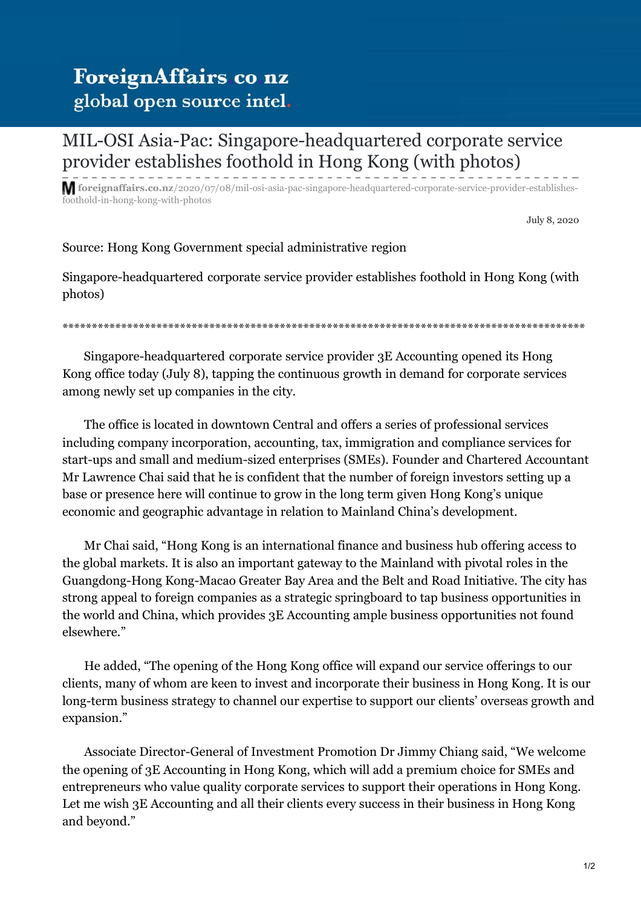## ForeignAffairs co nz global open source intel.

## [MIL-OSI Asia-Pac: Singapore-headquartered corporate service](https://foreignaffairs.co.nz/2020/07/08/mil-osi-asia-pac-singapore-headquartered-corporate-service-provider-establishes-foothold-in-hong-kong-with-photos/) provider establishes foothold in Hong Kong (with photos)

**foreignaffairs.co.nz**/2020/07/08/mil-osi-asia-pac-singapore-headquartered-corporate-service-provider-establishesfoothold-in-hong-kong-with-photos

July 8, 2020

Source: Hong Kong Government special administrative region

Singapore-headquartered corporate service provider establishes foothold in Hong Kong (with photos)

\*\*\*\*\*\*\*\*\*\*\*\*\*\*\*\*\*\*\*\*\*\*\*\*\*\*\*\*\*\*\*\*\*\*\*\*\*\*\*\*\*\*\*\*\*\*\*\*\*\*\*\*\*\*\*\*\*\*\*\*\*\*\*\*\*\*\*\*\*\*\*\*\*\*\*\*\*\*\*\*\*\*\*\*\*\*\*\*\*

 Singapore-headquartered corporate service provider 3E Accounting opened its Hong Kong office today (July 8), tapping the continuous growth in demand for corporate services among newly set up companies in the city.

 The office is located in downtown Central and offers a series of professional services including company incorporation, accounting, tax, immigration and compliance services for start-ups and small and medium-sized enterprises (SMEs). Founder and Chartered Accountant Mr Lawrence Chai said that he is confident that the number of foreign investors setting up a base or presence here will continue to grow in the long term given Hong Kong's unique economic and geographic advantage in relation to Mainland China's development.

 Mr Chai said, "Hong Kong is an international finance and business hub offering access to the global markets. It is also an important gateway to the Mainland with pivotal roles in the Guangdong-Hong Kong-Macao Greater Bay Area and the Belt and Road Initiative. The city has strong appeal to foreign companies as a strategic springboard to tap business opportunities in the world and China, which provides 3E Accounting ample business opportunities not found elsewhere."

 He added, "The opening of the Hong Kong office will expand our service offerings to our clients, many of whom are keen to invest and incorporate their business in Hong Kong. It is our long-term business strategy to channel our expertise to support our clients' overseas growth and expansion."

 Associate Director-General of Investment Promotion Dr Jimmy Chiang said, "We welcome the opening of 3E Accounting in Hong Kong, which will add a premium choice for SMEs and entrepreneurs who value quality corporate services to support their operations in Hong Kong. Let me wish 3E Accounting and all their clients every success in their business in Hong Kong and beyond."